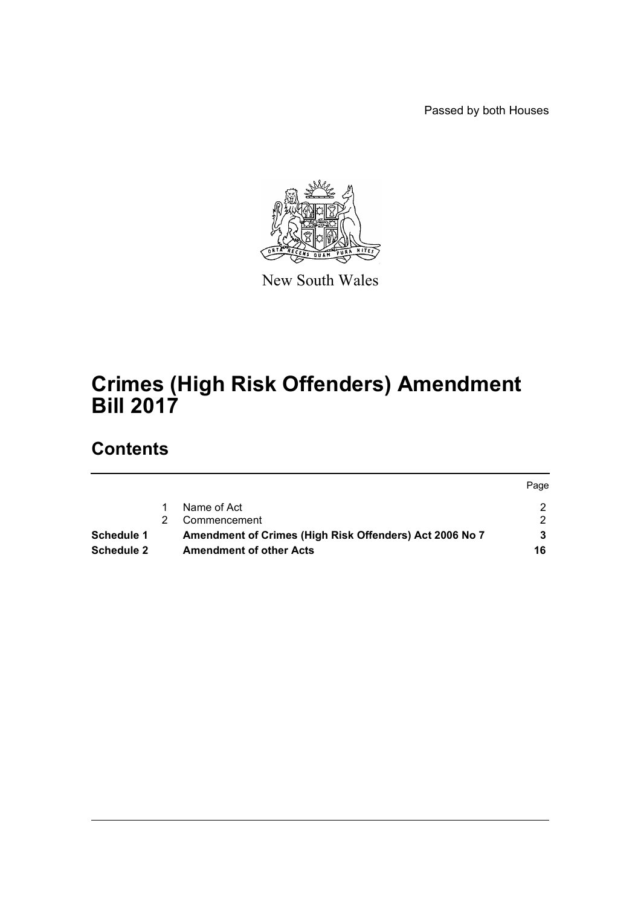Passed by both Houses



New South Wales

# **Crimes (High Risk Offenders) Amendment Bill 2017**

# **Contents**

|                   |    |                                                         | Page |
|-------------------|----|---------------------------------------------------------|------|
|                   |    | Name of Act                                             |      |
|                   | 2. | Commencement                                            |      |
| Schedule 1        |    | Amendment of Crimes (High Risk Offenders) Act 2006 No 7 |      |
| <b>Schedule 2</b> |    | <b>Amendment of other Acts</b>                          | 16   |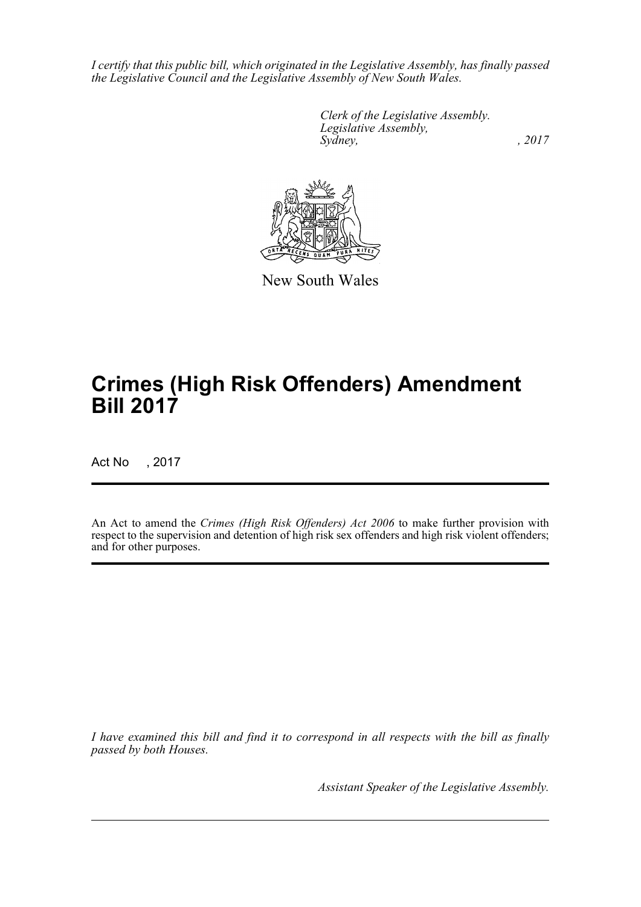*I certify that this public bill, which originated in the Legislative Assembly, has finally passed the Legislative Council and the Legislative Assembly of New South Wales.*

> *Clerk of the Legislative Assembly. Legislative Assembly, Sydney,* , 2017



New South Wales

# **Crimes (High Risk Offenders) Amendment Bill 2017**

Act No , 2017

An Act to amend the *Crimes (High Risk Offenders) Act 2006* to make further provision with respect to the supervision and detention of high risk sex offenders and high risk violent offenders; and for other purposes.

*I have examined this bill and find it to correspond in all respects with the bill as finally passed by both Houses.*

*Assistant Speaker of the Legislative Assembly.*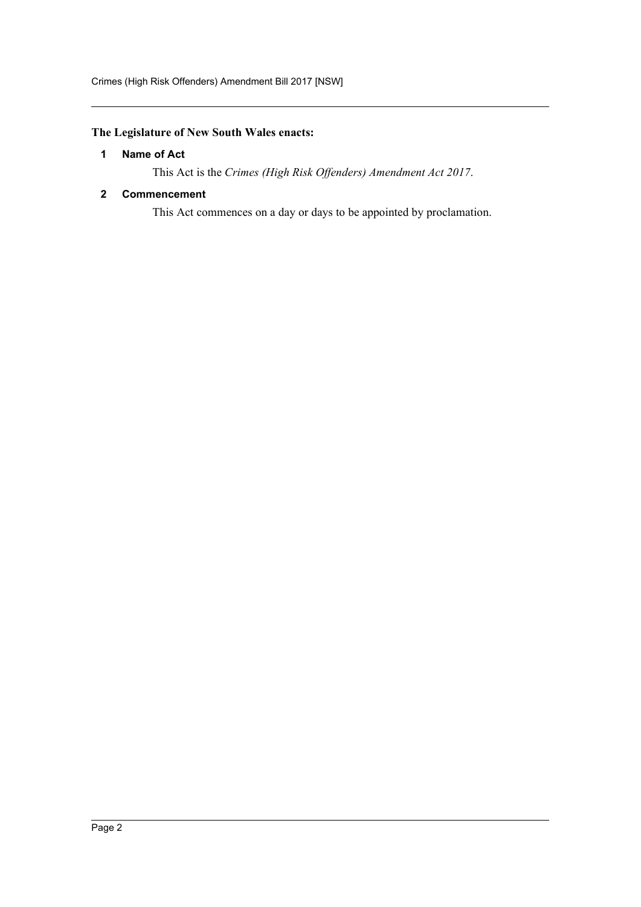## <span id="page-2-0"></span>**The Legislature of New South Wales enacts:**

## **1 Name of Act**

This Act is the *Crimes (High Risk Offenders) Amendment Act 2017*.

## <span id="page-2-1"></span>**2 Commencement**

This Act commences on a day or days to be appointed by proclamation.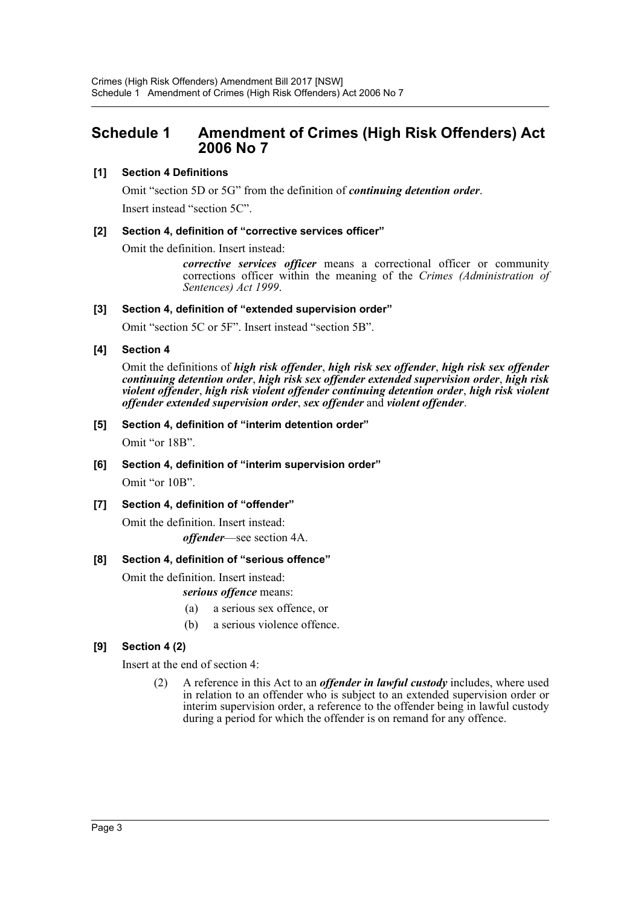# <span id="page-3-0"></span>**Schedule 1 Amendment of Crimes (High Risk Offenders) Act 2006 No 7**

## **[1] Section 4 Definitions**

Omit "section 5D or 5G" from the definition of *continuing detention order*. Insert instead "section 5C".

## **[2] Section 4, definition of "corrective services officer"**

Omit the definition. Insert instead:

*corrective services officer* means a correctional officer or community corrections officer within the meaning of the *Crimes (Administration of Sentences) Act 1999*.

## **[3] Section 4, definition of "extended supervision order"**

Omit "section 5C or 5F". Insert instead "section 5B".

## **[4] Section 4**

Omit the definitions of *high risk offender*, *high risk sex offender*, *high risk sex offender continuing detention order*, *high risk sex offender extended supervision order*, *high risk violent offender*, *high risk violent offender continuing detention order*, *high risk violent offender extended supervision order*, *sex offender* and *violent offender*.

## **[5] Section 4, definition of "interim detention order"**

Omit "or 18B".

## **[6] Section 4, definition of "interim supervision order"**

Omit "or 10B".

## **[7] Section 4, definition of "offender"**

Omit the definition. Insert instead: *offender*—see section 4A.

## **[8] Section 4, definition of "serious offence"**

Omit the definition. Insert instead:

### *serious offence* means:

- (a) a serious sex offence, or
- (b) a serious violence offence.

## **[9] Section 4 (2)**

Insert at the end of section 4:

(2) A reference in this Act to an *offender in lawful custody* includes, where used in relation to an offender who is subject to an extended supervision order or interim supervision order, a reference to the offender being in lawful custody during a period for which the offender is on remand for any offence.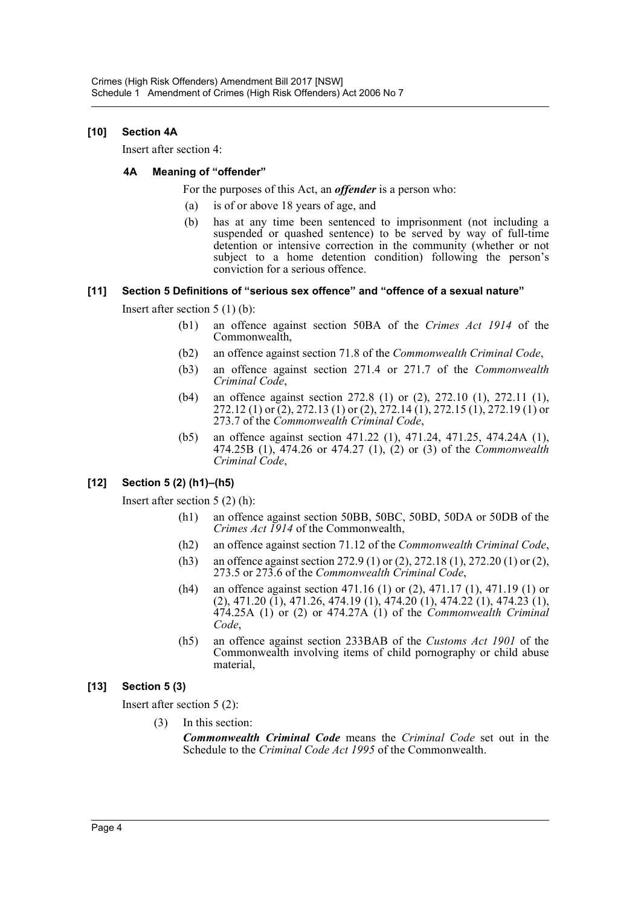## **[10] Section 4A**

Insert after section 4:

## **4A Meaning of "offender"**

For the purposes of this Act, an *offender* is a person who:

- (a) is of or above 18 years of age, and
- (b) has at any time been sentenced to imprisonment (not including a suspended or quashed sentence) to be served by way of full-time detention or intensive correction in the community (whether or not subject to a home detention condition) following the person's conviction for a serious offence.

## **[11] Section 5 Definitions of "serious sex offence" and "offence of a sexual nature"**

Insert after section 5 (1) (b):

- (b1) an offence against section 50BA of the *Crimes Act 1914* of the Commonwealth,
- (b2) an offence against section 71.8 of the *Commonwealth Criminal Code*,
- (b3) an offence against section 271.4 or 271.7 of the *Commonwealth Criminal Code*,
- (b4) an offence against section 272.8 (1) or (2), 272.10 (1), 272.11 (1), 272.12 (1) or (2), 272.13 (1) or (2),  $\frac{272.14}{1}$ , 272.15 (1), 272.19 (1) or 273.7 of the *Commonwealth Criminal Code*,
- (b5) an offence against section 471.22 (1), 471.24, 471.25, 474.24A (1), 474.25B (1), 474.26 or 474.27 (1), (2) or (3) of the *Commonwealth Criminal Code*,

## **[12] Section 5 (2) (h1)–(h5)**

Insert after section 5 (2) (h):

- (h1) an offence against section 50BB, 50BC, 50BD, 50DA or 50DB of the *Crimes Act 1914* of the Commonwealth,
- (h2) an offence against section 71.12 of the *Commonwealth Criminal Code*,
- (h3) an offence against section 272.9 (1) or (2), 272.18 (1), 272.20 (1) or (2), 273.5 or 273.6 of the *Commonwealth Criminal Code*,
- (h4) an offence against section 471.16 (1) or (2), 471.17 (1), 471.19 (1) or (2), 471.20 (1), 471.26, 474.19 (1), 474.20 (1), 474.22 (1), 474.23 (1), 474.25A (1) or (2) or 474.27A (1) of the *Commonwealth Criminal Code*,
- (h5) an offence against section 233BAB of the *Customs Act 1901* of the Commonwealth involving items of child pornography or child abuse material,

## **[13] Section 5 (3)**

Insert after section 5 (2):

(3) In this section:

*Commonwealth Criminal Code* means the *Criminal Code* set out in the Schedule to the *Criminal Code Act 1995* of the Commonwealth.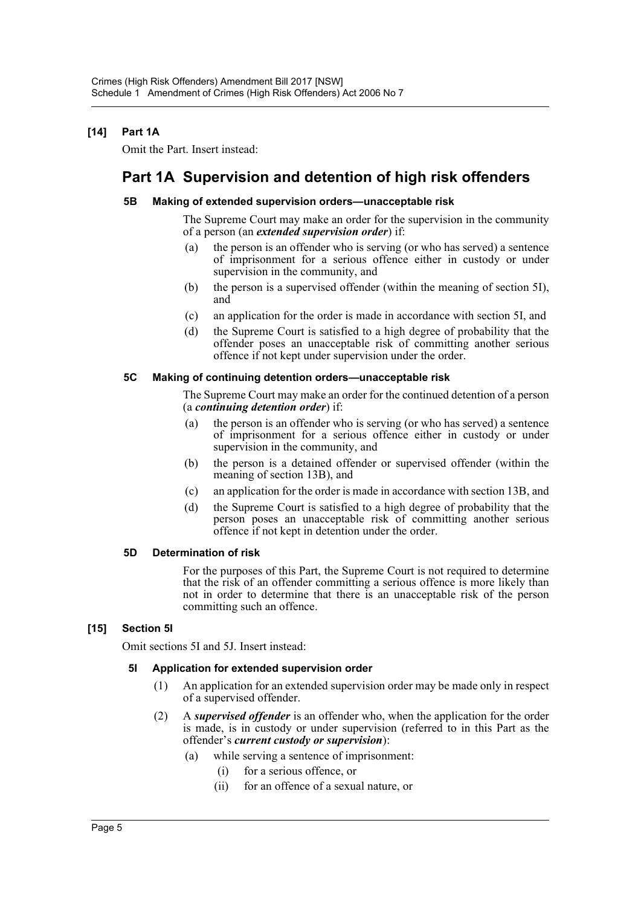## **[14] Part 1A**

Omit the Part. Insert instead:

# **Part 1A Supervision and detention of high risk offenders**

### **5B Making of extended supervision orders—unacceptable risk**

The Supreme Court may make an order for the supervision in the community of a person (an *extended supervision order*) if:

- (a) the person is an offender who is serving (or who has served) a sentence of imprisonment for a serious offence either in custody or under supervision in the community, and
- (b) the person is a supervised offender (within the meaning of section 5I), and
- (c) an application for the order is made in accordance with section 5I, and
- (d) the Supreme Court is satisfied to a high degree of probability that the offender poses an unacceptable risk of committing another serious offence if not kept under supervision under the order.

### **5C Making of continuing detention orders—unacceptable risk**

The Supreme Court may make an order for the continued detention of a person (a *continuing detention order*) if:

- (a) the person is an offender who is serving (or who has served) a sentence of imprisonment for a serious offence either in custody or under supervision in the community, and
- (b) the person is a detained offender or supervised offender (within the meaning of section 13B), and
- (c) an application for the order is made in accordance with section 13B, and
- (d) the Supreme Court is satisfied to a high degree of probability that the person poses an unacceptable risk of committing another serious offence if not kept in detention under the order.

### **5D Determination of risk**

For the purposes of this Part, the Supreme Court is not required to determine that the risk of an offender committing a serious offence is more likely than not in order to determine that there is an unacceptable risk of the person committing such an offence.

### **[15] Section 5I**

Omit sections 5I and 5J. Insert instead:

### **5I Application for extended supervision order**

- (1) An application for an extended supervision order may be made only in respect of a supervised offender.
- (2) A *supervised offender* is an offender who, when the application for the order is made, is in custody or under supervision (referred to in this Part as the offender's *current custody or supervision*):
	- (a) while serving a sentence of imprisonment:
		- (i) for a serious offence, or
		- (ii) for an offence of a sexual nature, or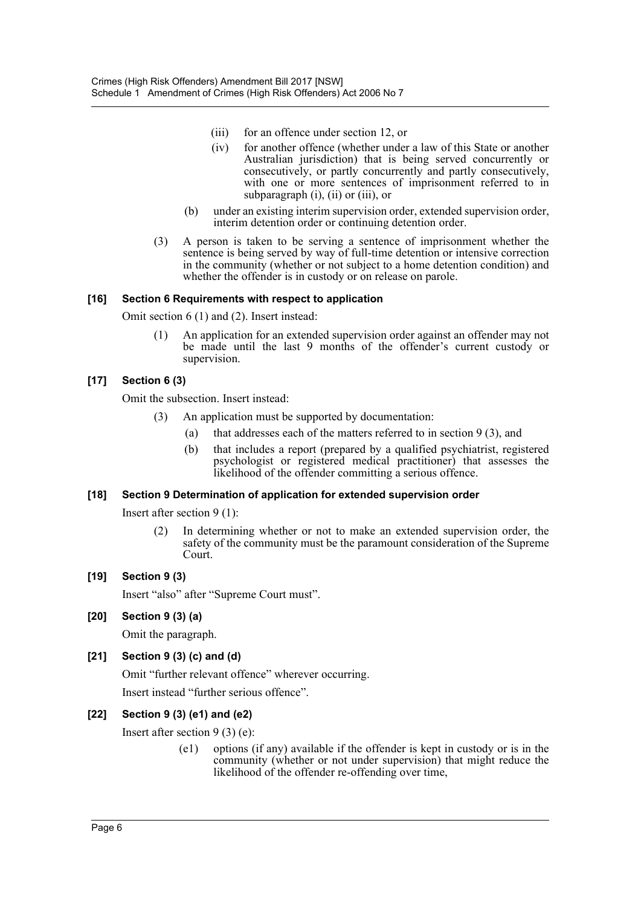- (iii) for an offence under section 12, or
- (iv) for another offence (whether under a law of this State or another Australian jurisdiction) that is being served concurrently or consecutively, or partly concurrently and partly consecutively, with one or more sentences of imprisonment referred to in subparagraph (i), (ii) or (iii), or
- (b) under an existing interim supervision order, extended supervision order, interim detention order or continuing detention order.
- (3) A person is taken to be serving a sentence of imprisonment whether the sentence is being served by way of full-time detention or intensive correction in the community (whether or not subject to a home detention condition) and whether the offender is in custody or on release on parole.

## **[16] Section 6 Requirements with respect to application**

Omit section 6 (1) and (2). Insert instead:

(1) An application for an extended supervision order against an offender may not be made until the last 9 months of the offender's current custody or supervision.

## **[17] Section 6 (3)**

Omit the subsection. Insert instead:

- (3) An application must be supported by documentation:
	- (a) that addresses each of the matters referred to in section  $9(3)$ , and
	- (b) that includes a report (prepared by a qualified psychiatrist, registered psychologist or registered medical practitioner) that assesses the likelihood of the offender committing a serious offence.

### **[18] Section 9 Determination of application for extended supervision order**

Insert after section 9 (1):

(2) In determining whether or not to make an extended supervision order, the safety of the community must be the paramount consideration of the Supreme Court.

### **[19] Section 9 (3)**

Insert "also" after "Supreme Court must".

### **[20] Section 9 (3) (a)**

Omit the paragraph.

### **[21] Section 9 (3) (c) and (d)**

Omit "further relevant offence" wherever occurring. Insert instead "further serious offence".

## **[22] Section 9 (3) (e1) and (e2)**

Insert after section 9 (3) (e):

(e1) options (if any) available if the offender is kept in custody or is in the community (whether or not under supervision) that might reduce the likelihood of the offender re-offending over time,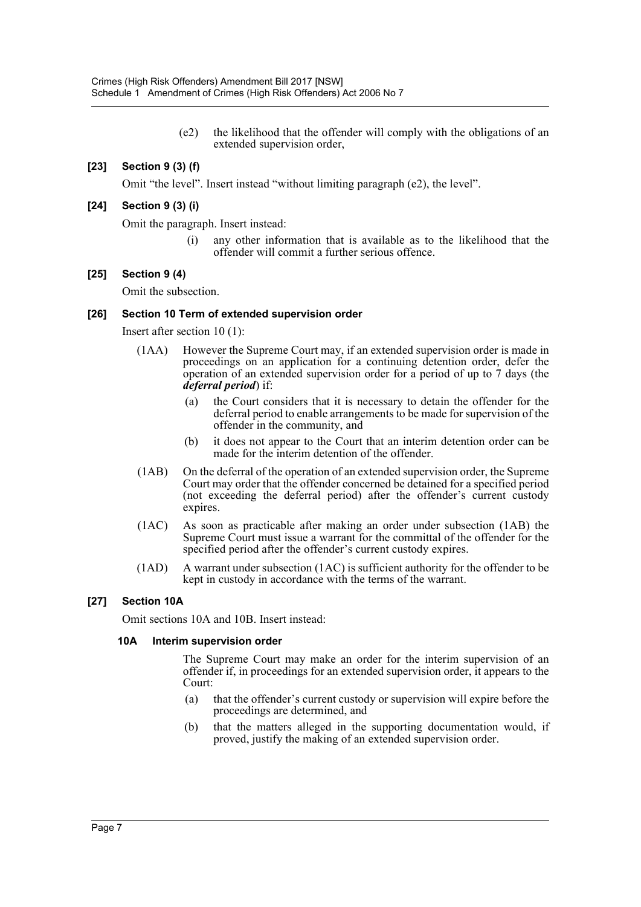(e2) the likelihood that the offender will comply with the obligations of an extended supervision order,

## **[23] Section 9 (3) (f)**

Omit "the level". Insert instead "without limiting paragraph (e2), the level".

### **[24] Section 9 (3) (i)**

Omit the paragraph. Insert instead:

(i) any other information that is available as to the likelihood that the offender will commit a further serious offence.

#### **[25] Section 9 (4)**

Omit the subsection.

#### **[26] Section 10 Term of extended supervision order**

Insert after section 10 (1):

- (1AA) However the Supreme Court may, if an extended supervision order is made in proceedings on an application for a continuing detention order, defer the operation of an extended supervision order for a period of up to 7 days (the *deferral period*) if:
	- (a) the Court considers that it is necessary to detain the offender for the deferral period to enable arrangements to be made for supervision of the offender in the community, and
	- (b) it does not appear to the Court that an interim detention order can be made for the interim detention of the offender.
- (1AB) On the deferral of the operation of an extended supervision order, the Supreme Court may order that the offender concerned be detained for a specified period (not exceeding the deferral period) after the offender's current custody expires.
- (1AC) As soon as practicable after making an order under subsection (1AB) the Supreme Court must issue a warrant for the committal of the offender for the specified period after the offender's current custody expires.
- (1AD) A warrant under subsection (1AC) is sufficient authority for the offender to be kept in custody in accordance with the terms of the warrant.

### **[27] Section 10A**

Omit sections 10A and 10B. Insert instead:

#### **10A Interim supervision order**

The Supreme Court may make an order for the interim supervision of an offender if, in proceedings for an extended supervision order, it appears to the Court:

- (a) that the offender's current custody or supervision will expire before the proceedings are determined, and
- (b) that the matters alleged in the supporting documentation would, if proved, justify the making of an extended supervision order.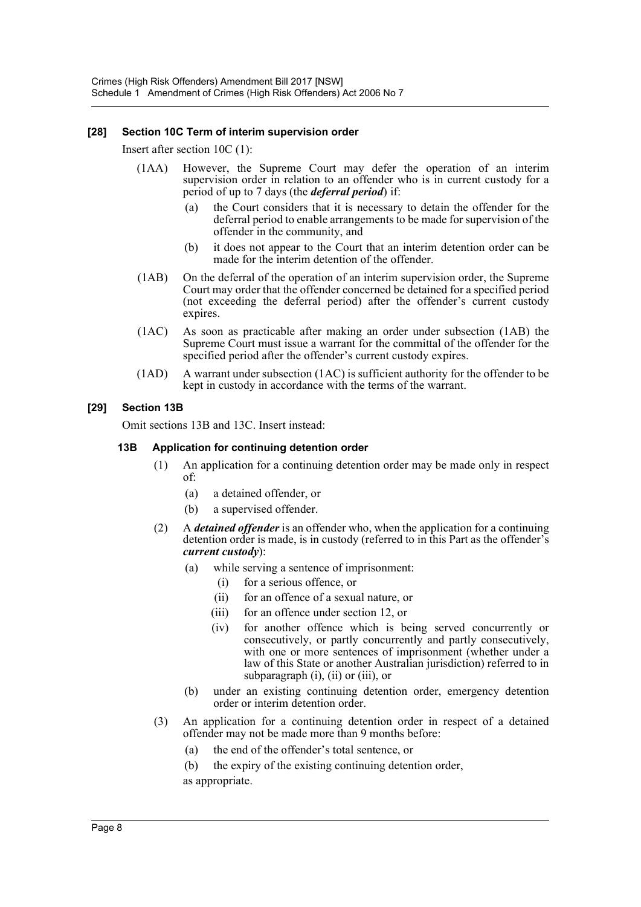## **[28] Section 10C Term of interim supervision order**

Insert after section 10C (1):

- (1AA) However, the Supreme Court may defer the operation of an interim supervision order in relation to an offender who is in current custody for a period of up to 7 days (the *deferral period*) if:
	- (a) the Court considers that it is necessary to detain the offender for the deferral period to enable arrangements to be made for supervision of the offender in the community, and
	- (b) it does not appear to the Court that an interim detention order can be made for the interim detention of the offender.
- (1AB) On the deferral of the operation of an interim supervision order, the Supreme Court may order that the offender concerned be detained for a specified period (not exceeding the deferral period) after the offender's current custody expires.
- (1AC) As soon as practicable after making an order under subsection (1AB) the Supreme Court must issue a warrant for the committal of the offender for the specified period after the offender's current custody expires.
- (1AD) A warrant under subsection (1AC) is sufficient authority for the offender to be kept in custody in accordance with the terms of the warrant.

## **[29] Section 13B**

Omit sections 13B and 13C. Insert instead:

## **13B Application for continuing detention order**

- (1) An application for a continuing detention order may be made only in respect of:
	- (a) a detained offender, or
	- (b) a supervised offender.
- (2) A *detained offender* is an offender who, when the application for a continuing detention order is made, is in custody (referred to in this Part as the offender's *current custody*):
	- (a) while serving a sentence of imprisonment:
		- (i) for a serious offence, or
		- (ii) for an offence of a sexual nature, or
		- (iii) for an offence under section 12, or
		- (iv) for another offence which is being served concurrently or consecutively, or partly concurrently and partly consecutively, with one or more sentences of imprisonment (whether under a law of this State or another Australian jurisdiction) referred to in subparagraph (i), (ii) or (iii), or
	- (b) under an existing continuing detention order, emergency detention order or interim detention order.
- (3) An application for a continuing detention order in respect of a detained offender may not be made more than 9 months before:
	- (a) the end of the offender's total sentence, or
	- (b) the expiry of the existing continuing detention order, as appropriate.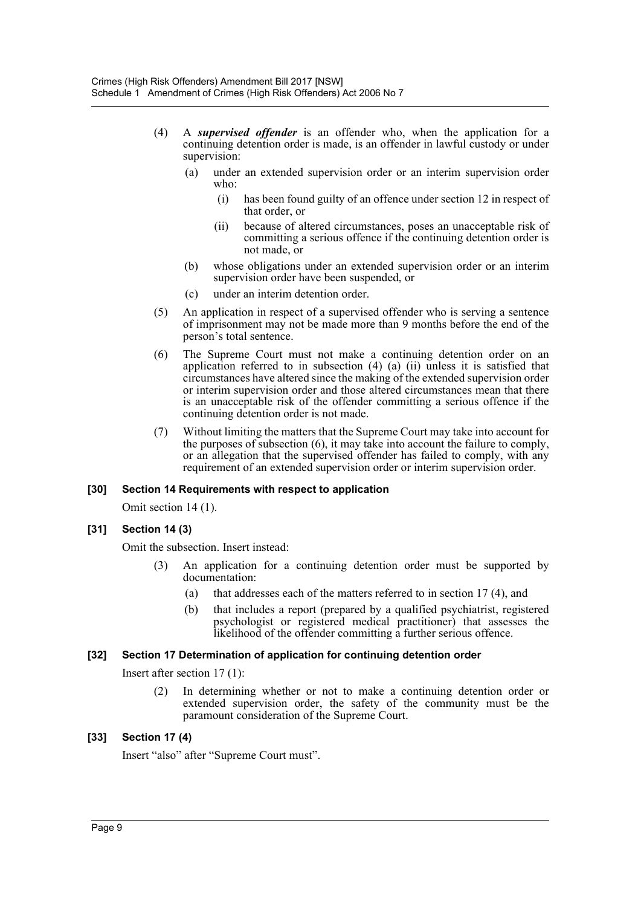- (4) A *supervised offender* is an offender who, when the application for a continuing detention order is made, is an offender in lawful custody or under supervision:
	- (a) under an extended supervision order or an interim supervision order who:
		- (i) has been found guilty of an offence under section 12 in respect of that order, or
		- (ii) because of altered circumstances, poses an unacceptable risk of committing a serious offence if the continuing detention order is not made, or
	- (b) whose obligations under an extended supervision order or an interim supervision order have been suspended, or
	- (c) under an interim detention order.
- (5) An application in respect of a supervised offender who is serving a sentence of imprisonment may not be made more than 9 months before the end of the person's total sentence.
- (6) The Supreme Court must not make a continuing detention order on an application referred to in subsection (4) (a) (ii) unless it is satisfied that circumstances have altered since the making of the extended supervision order or interim supervision order and those altered circumstances mean that there is an unacceptable risk of the offender committing a serious offence if the continuing detention order is not made.
- (7) Without limiting the matters that the Supreme Court may take into account for the purposes of subsection (6), it may take into account the failure to comply, or an allegation that the supervised offender has failed to comply, with any requirement of an extended supervision order or interim supervision order.

### **[30] Section 14 Requirements with respect to application**

Omit section 14 (1).

### **[31] Section 14 (3)**

Omit the subsection. Insert instead:

- (3) An application for a continuing detention order must be supported by documentation:
	- (a) that addresses each of the matters referred to in section 17 (4), and
	- (b) that includes a report (prepared by a qualified psychiatrist, registered psychologist or registered medical practitioner) that assesses the likelihood of the offender committing a further serious offence.

### **[32] Section 17 Determination of application for continuing detention order**

Insert after section 17 (1):

(2) In determining whether or not to make a continuing detention order or extended supervision order, the safety of the community must be the paramount consideration of the Supreme Court.

### **[33] Section 17 (4)**

Insert "also" after "Supreme Court must".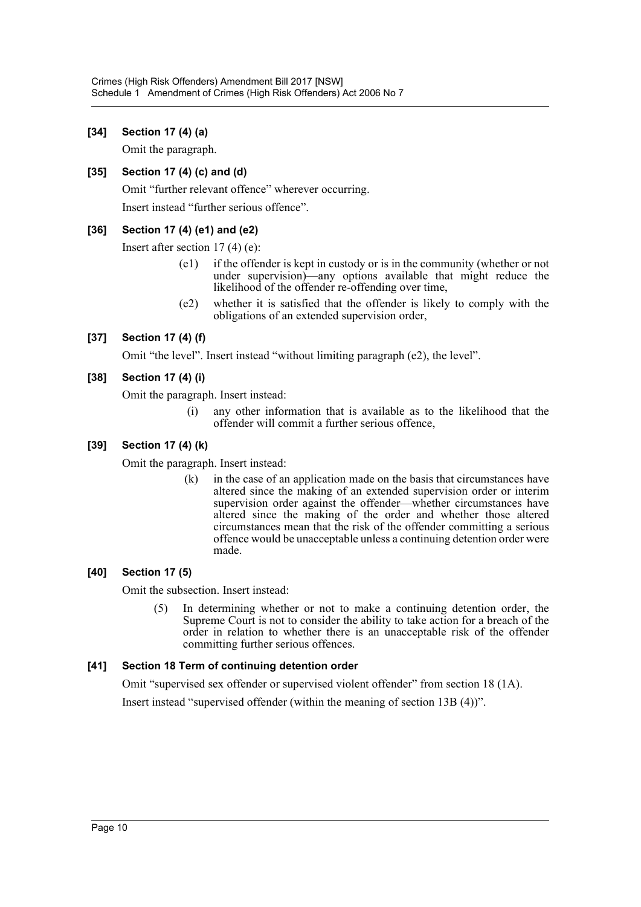## **[34] Section 17 (4) (a)**

Omit the paragraph.

## **[35] Section 17 (4) (c) and (d)**

Omit "further relevant offence" wherever occurring.

Insert instead "further serious offence".

## **[36] Section 17 (4) (e1) and (e2)**

Insert after section 17 (4) (e):

- (e1) if the offender is kept in custody or is in the community (whether or not under supervision)—any options available that might reduce the likelihood of the offender re-offending over time,
- (e2) whether it is satisfied that the offender is likely to comply with the obligations of an extended supervision order,

## **[37] Section 17 (4) (f)**

Omit "the level". Insert instead "without limiting paragraph (e2), the level".

## **[38] Section 17 (4) (i)**

Omit the paragraph. Insert instead:

(i) any other information that is available as to the likelihood that the offender will commit a further serious offence,

## **[39] Section 17 (4) (k)**

Omit the paragraph. Insert instead:

(k) in the case of an application made on the basis that circumstances have altered since the making of an extended supervision order or interim supervision order against the offender—whether circumstances have altered since the making of the order and whether those altered circumstances mean that the risk of the offender committing a serious offence would be unacceptable unless a continuing detention order were made.

## **[40] Section 17 (5)**

Omit the subsection. Insert instead:

(5) In determining whether or not to make a continuing detention order, the Supreme Court is not to consider the ability to take action for a breach of the order in relation to whether there is an unacceptable risk of the offender committing further serious offences.

## **[41] Section 18 Term of continuing detention order**

Omit "supervised sex offender or supervised violent offender" from section 18 (1A). Insert instead "supervised offender (within the meaning of section 13B (4))".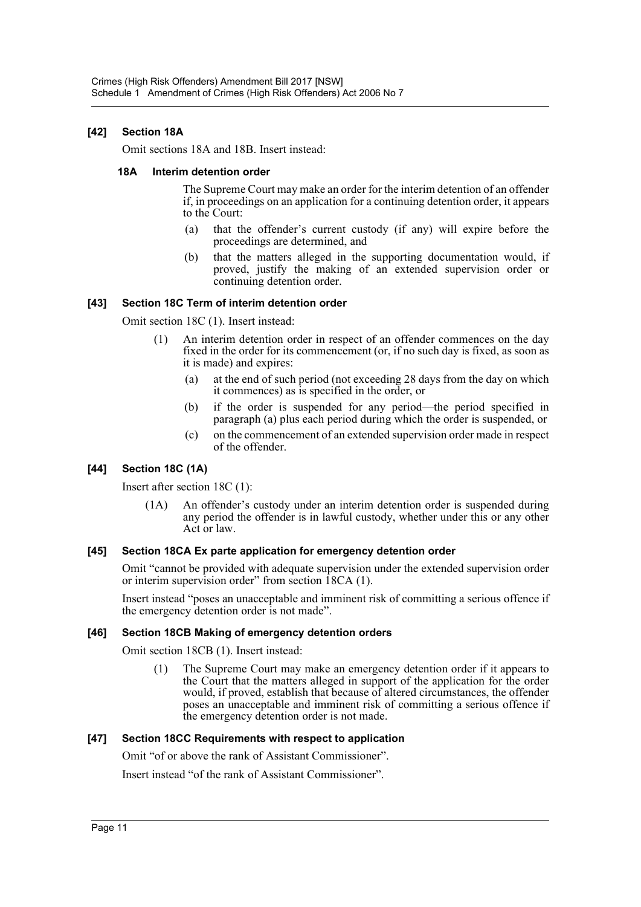## **[42] Section 18A**

Omit sections 18A and 18B. Insert instead:

#### **18A Interim detention order**

The Supreme Court may make an order for the interim detention of an offender if, in proceedings on an application for a continuing detention order, it appears to the Court:

- (a) that the offender's current custody (if any) will expire before the proceedings are determined, and
- (b) that the matters alleged in the supporting documentation would, if proved, justify the making of an extended supervision order or continuing detention order.

### **[43] Section 18C Term of interim detention order**

Omit section 18C (1). Insert instead:

- (1) An interim detention order in respect of an offender commences on the day fixed in the order for its commencement (or, if no such day is fixed, as soon as it is made) and expires:
	- (a) at the end of such period (not exceeding 28 days from the day on which it commences) as is specified in the order, or
	- (b) if the order is suspended for any period—the period specified in paragraph (a) plus each period during which the order is suspended, or
	- (c) on the commencement of an extended supervision order made in respect of the offender.

## **[44] Section 18C (1A)**

Insert after section 18C (1):

(1A) An offender's custody under an interim detention order is suspended during any period the offender is in lawful custody, whether under this or any other Act or law.

### **[45] Section 18CA Ex parte application for emergency detention order**

Omit "cannot be provided with adequate supervision under the extended supervision order or interim supervision order" from section 18CA (1).

Insert instead "poses an unacceptable and imminent risk of committing a serious offence if the emergency detention order is not made".

## **[46] Section 18CB Making of emergency detention orders**

Omit section 18CB (1). Insert instead:

(1) The Supreme Court may make an emergency detention order if it appears to the Court that the matters alleged in support of the application for the order would, if proved, establish that because of altered circumstances, the offender poses an unacceptable and imminent risk of committing a serious offence if the emergency detention order is not made.

### **[47] Section 18CC Requirements with respect to application**

Omit "of or above the rank of Assistant Commissioner".

Insert instead "of the rank of Assistant Commissioner".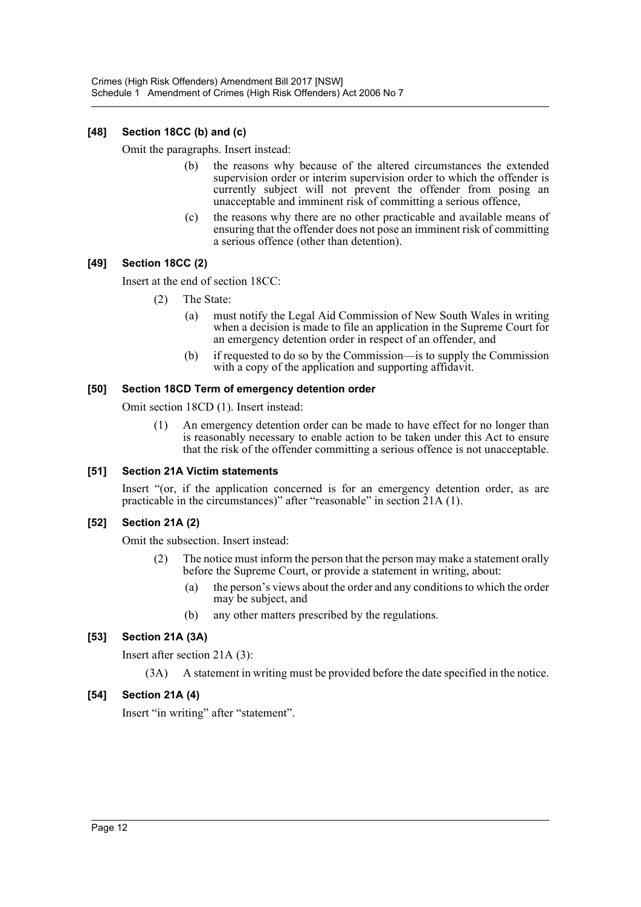## **[48] Section 18CC (b) and (c)**

Omit the paragraphs. Insert instead:

- (b) the reasons why because of the altered circumstances the extended supervision order or interim supervision order to which the offender is currently subject will not prevent the offender from posing an unacceptable and imminent risk of committing a serious offence,
- (c) the reasons why there are no other practicable and available means of ensuring that the offender does not pose an imminent risk of committing a serious offence (other than detention).

## **[49] Section 18CC (2)**

Insert at the end of section 18CC:

- (2) The State:
	- (a) must notify the Legal Aid Commission of New South Wales in writing when a decision is made to file an application in the Supreme Court for an emergency detention order in respect of an offender, and
	- (b) if requested to do so by the Commission—is to supply the Commission with a copy of the application and supporting affidavit.

### **[50] Section 18CD Term of emergency detention order**

Omit section 18CD (1). Insert instead:

(1) An emergency detention order can be made to have effect for no longer than is reasonably necessary to enable action to be taken under this Act to ensure that the risk of the offender committing a serious offence is not unacceptable.

### **[51] Section 21A Victim statements**

Insert "(or, if the application concerned is for an emergency detention order, as are practicable in the circumstances)" after "reasonable" in section 21A (1).

### **[52] Section 21A (2)**

Omit the subsection. Insert instead:

- (2) The notice must inform the person that the person may make a statement orally before the Supreme Court, or provide a statement in writing, about:
	- (a) the person's views about the order and any conditions to which the order may be subject, and
	- (b) any other matters prescribed by the regulations.

### **[53] Section 21A (3A)**

Insert after section 21A (3):

(3A) A statement in writing must be provided before the date specified in the notice.

### **[54] Section 21A (4)**

Insert "in writing" after "statement".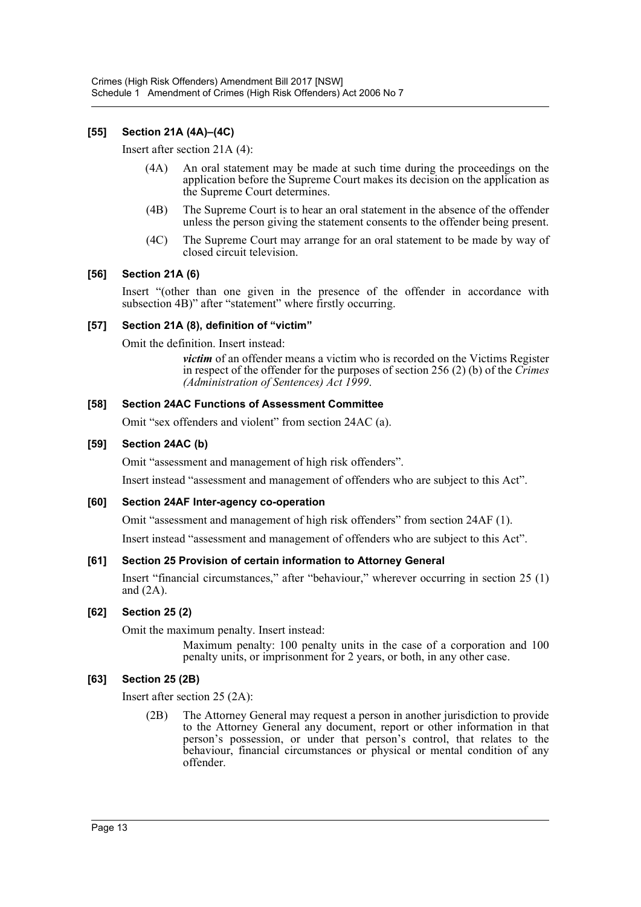## **[55] Section 21A (4A)–(4C)**

Insert after section 21A (4):

- (4A) An oral statement may be made at such time during the proceedings on the application before the Supreme Court makes its decision on the application as the Supreme Court determines.
- (4B) The Supreme Court is to hear an oral statement in the absence of the offender unless the person giving the statement consents to the offender being present.
- (4C) The Supreme Court may arrange for an oral statement to be made by way of closed circuit television.

### **[56] Section 21A (6)**

Insert "(other than one given in the presence of the offender in accordance with subsection 4B)" after "statement" where firstly occurring.

#### **[57] Section 21A (8), definition of "victim"**

Omit the definition. Insert instead:

*victim* of an offender means a victim who is recorded on the Victims Register in respect of the offender for the purposes of section 256 (2) (b) of the *Crimes (Administration of Sentences) Act 1999*.

#### **[58] Section 24AC Functions of Assessment Committee**

Omit "sex offenders and violent" from section 24AC (a).

### **[59] Section 24AC (b)**

Omit "assessment and management of high risk offenders".

Insert instead "assessment and management of offenders who are subject to this Act".

### **[60] Section 24AF Inter-agency co-operation**

Omit "assessment and management of high risk offenders" from section 24AF (1).

Insert instead "assessment and management of offenders who are subject to this Act".

### **[61] Section 25 Provision of certain information to Attorney General**

Insert "financial circumstances," after "behaviour," wherever occurring in section 25 (1) and (2A).

### **[62] Section 25 (2)**

Omit the maximum penalty. Insert instead:

Maximum penalty: 100 penalty units in the case of a corporation and 100 penalty units, or imprisonment for 2 years, or both, in any other case.

### **[63] Section 25 (2B)**

Insert after section 25 (2A):

(2B) The Attorney General may request a person in another jurisdiction to provide to the Attorney General any document, report or other information in that person's possession, or under that person's control, that relates to the behaviour, financial circumstances or physical or mental condition of any offender.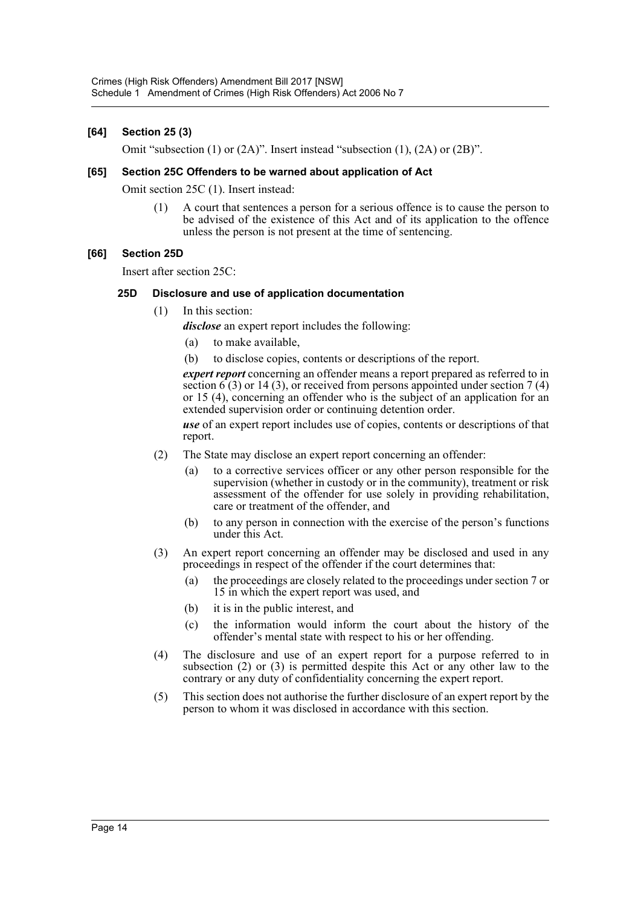## **[64] Section 25 (3)**

Omit "subsection (1) or (2A)". Insert instead "subsection (1), (2A) or (2B)".

#### **[65] Section 25C Offenders to be warned about application of Act**

Omit section 25C (1). Insert instead:

(1) A court that sentences a person for a serious offence is to cause the person to be advised of the existence of this Act and of its application to the offence unless the person is not present at the time of sentencing.

### **[66] Section 25D**

Insert after section 25C:

#### **25D Disclosure and use of application documentation**

(1) In this section:

*disclose* an expert report includes the following:

- (a) to make available,
- (b) to disclose copies, contents or descriptions of the report.

*expert report* concerning an offender means a report prepared as referred to in section  $\widehat{6}(3)$  or 14 (3), or received from persons appointed under section 7 (4) or 15 (4), concerning an offender who is the subject of an application for an extended supervision order or continuing detention order.

*use* of an expert report includes use of copies, contents or descriptions of that report.

- (2) The State may disclose an expert report concerning an offender:
	- (a) to a corrective services officer or any other person responsible for the supervision (whether in custody or in the community), treatment or risk assessment of the offender for use solely in providing rehabilitation, care or treatment of the offender, and
	- (b) to any person in connection with the exercise of the person's functions under this Act.
- (3) An expert report concerning an offender may be disclosed and used in any proceedings in respect of the offender if the court determines that:
	- (a) the proceedings are closely related to the proceedings under section 7 or 15 in which the expert report was used, and
	- (b) it is in the public interest, and
	- (c) the information would inform the court about the history of the offender's mental state with respect to his or her offending.
- (4) The disclosure and use of an expert report for a purpose referred to in subsection (2) or (3) is permitted despite this Act or any other law to the contrary or any duty of confidentiality concerning the expert report.
- (5) This section does not authorise the further disclosure of an expert report by the person to whom it was disclosed in accordance with this section.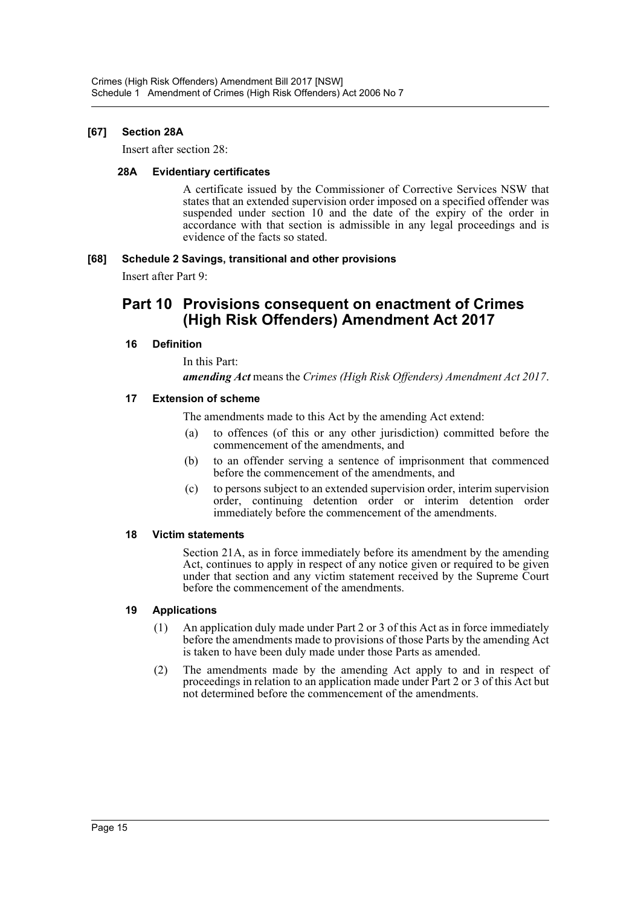## **[67] Section 28A**

Insert after section 28:

#### **28A Evidentiary certificates**

A certificate issued by the Commissioner of Corrective Services NSW that states that an extended supervision order imposed on a specified offender was suspended under section 10 and the date of the expiry of the order in accordance with that section is admissible in any legal proceedings and is evidence of the facts so stated.

### **[68] Schedule 2 Savings, transitional and other provisions**

Insert after Part 9:

# **Part 10 Provisions consequent on enactment of Crimes (High Risk Offenders) Amendment Act 2017**

## **16 Definition**

In this Part: *amending Act* means the *Crimes (High Risk Offenders) Amendment Act 2017*.

### **17 Extension of scheme**

The amendments made to this Act by the amending Act extend:

- (a) to offences (of this or any other jurisdiction) committed before the commencement of the amendments, and
- (b) to an offender serving a sentence of imprisonment that commenced before the commencement of the amendments, and
- (c) to persons subject to an extended supervision order, interim supervision order, continuing detention order or interim detention order immediately before the commencement of the amendments.

### **18 Victim statements**

Section 21A, as in force immediately before its amendment by the amending Act, continues to apply in respect of any notice given or required to be given under that section and any victim statement received by the Supreme Court before the commencement of the amendments.

### **19 Applications**

- (1) An application duly made under Part 2 or 3 of this Act as in force immediately before the amendments made to provisions of those Parts by the amending Act is taken to have been duly made under those Parts as amended.
- (2) The amendments made by the amending Act apply to and in respect of proceedings in relation to an application made under Part 2 or 3 of this Act but not determined before the commencement of the amendments.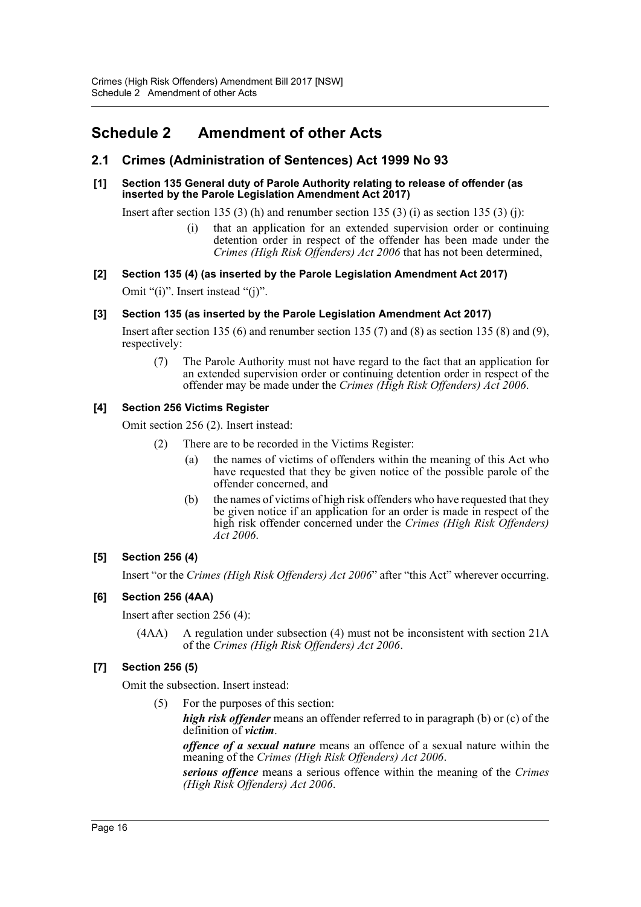# <span id="page-16-0"></span>**Schedule 2 Amendment of other Acts**

## **2.1 Crimes (Administration of Sentences) Act 1999 No 93**

#### **[1] Section 135 General duty of Parole Authority relating to release of offender (as inserted by the Parole Legislation Amendment Act 2017)**

Insert after section 135 (3) (h) and renumber section 135 (3) (i) as section 135 (3) (j):

(i) that an application for an extended supervision order or continuing detention order in respect of the offender has been made under the *Crimes (High Risk Offenders) Act 2006* that has not been determined,

## **[2] Section 135 (4) (as inserted by the Parole Legislation Amendment Act 2017)**

Omit "(i)". Insert instead "(j)".

## **[3] Section 135 (as inserted by the Parole Legislation Amendment Act 2017)**

Insert after section 135 (6) and renumber section 135 (7) and (8) as section 135 (8) and (9), respectively:

(7) The Parole Authority must not have regard to the fact that an application for an extended supervision order or continuing detention order in respect of the offender may be made under the *Crimes (High Risk Offenders) Act 2006*.

## **[4] Section 256 Victims Register**

Omit section 256 (2). Insert instead:

- (2) There are to be recorded in the Victims Register:
	- (a) the names of victims of offenders within the meaning of this Act who have requested that they be given notice of the possible parole of the offender concerned, and
	- (b) the names of victims of high risk offenders who have requested that they be given notice if an application for an order is made in respect of the high risk offender concerned under the *Crimes (High Risk Offenders) Act 2006*.

### **[5] Section 256 (4)**

Insert "or the *Crimes (High Risk Offenders) Act 2006*" after "this Act" wherever occurring.

## **[6] Section 256 (4AA)**

Insert after section 256 (4):

(4AA) A regulation under subsection (4) must not be inconsistent with section 21A of the *Crimes (High Risk Offenders) Act 2006*.

## **[7] Section 256 (5)**

Omit the subsection. Insert instead:

(5) For the purposes of this section:

*high risk offender* means an offender referred to in paragraph (b) or (c) of the definition of *victim*.

*offence of a sexual nature* means an offence of a sexual nature within the meaning of the *Crimes (High Risk Offenders) Act 2006*.

*serious offence* means a serious offence within the meaning of the *Crimes (High Risk Offenders) Act 2006*.